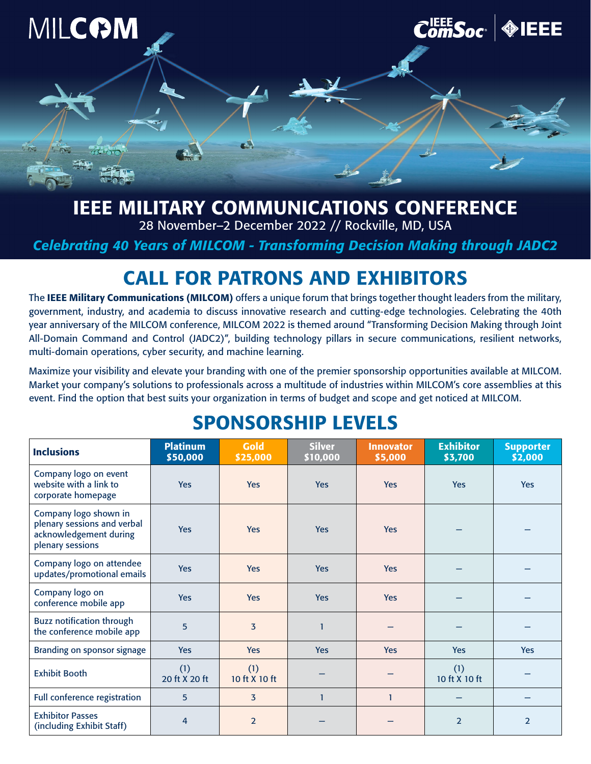

## IEEE MILITARY COMMUNICATIONS CONFERENCE

28 November–2 December 2022 // Rockville, MD, USA

*Celebrating 40 Years of MILCOM - Transforming Decision Making through JADC2*

## CALL FOR PATRONS AND EXHIBITORS

The IEEE Military Communications (MILCOM) offers a unique forum that brings together thought leaders from the military, government, industry, and academia to discuss innovative research and cutting-edge technologies. Celebrating the 40th year anniversary of the MILCOM conference, MILCOM 2022 is themed around "Transforming Decision Making through Joint All-Domain Command and Control (JADC2)", building technology pillars in secure communications, resilient networks, multi-domain operations, cyber security, and machine learning.

Maximize your visibility and elevate your branding with one of the premier sponsorship opportunities available at MILCOM. Market your company's solutions to professionals across a multitude of industries within MILCOM's core assemblies at this event. Find the option that best suits your organization in terms of budget and scope and get noticed at MILCOM.

| <b>Inclusions</b>                                                                                  | <b>Platinum</b><br>\$50,000 | <b>Gold</b><br>\$25,000 | <b>Silver</b><br>\$10,000 | <b>Innovator</b><br>\$5,000 | <b>Exhibitor</b><br>\$3,700 | <b>Supporter</b><br>\$2,000 |
|----------------------------------------------------------------------------------------------------|-----------------------------|-------------------------|---------------------------|-----------------------------|-----------------------------|-----------------------------|
| Company logo on event<br>website with a link to<br>corporate homepage                              | <b>Yes</b>                  | <b>Yes</b>              | <b>Yes</b>                | <b>Yes</b>                  | <b>Yes</b>                  | <b>Yes</b>                  |
| Company logo shown in<br>plenary sessions and verbal<br>acknowledgement during<br>plenary sessions | <b>Yes</b>                  | <b>Yes</b>              | <b>Yes</b>                | <b>Yes</b>                  |                             |                             |
| Company logo on attendee<br>updates/promotional emails                                             | <b>Yes</b>                  | <b>Yes</b>              | <b>Yes</b>                | <b>Yes</b>                  |                             |                             |
| Company logo on<br>conference mobile app                                                           | <b>Yes</b>                  | <b>Yes</b>              | <b>Yes</b>                | <b>Yes</b>                  |                             |                             |
| Buzz notification through<br>the conference mobile app                                             | 5                           | $\overline{3}$          | 1                         |                             |                             |                             |
| Branding on sponsor signage                                                                        | <b>Yes</b>                  | <b>Yes</b>              | <b>Yes</b>                | <b>Yes</b>                  | <b>Yes</b>                  | <b>Yes</b>                  |
| <b>Exhibit Booth</b>                                                                               | (1)<br>20 ft X 20 ft        | (1)<br>10 ft X 10 ft    |                           |                             | (1)<br>10 ft X 10 ft        |                             |
| Full conference registration                                                                       | 5                           | $\overline{3}$          | $\mathbf{1}$              | $\mathbf{1}$                |                             |                             |
| <b>Exhibitor Passes</b><br>(including Exhibit Staff)                                               | 4                           | $\overline{2}$          |                           |                             | $\overline{2}$              | $\overline{2}$              |

## SPONSORSHIP LEVELS